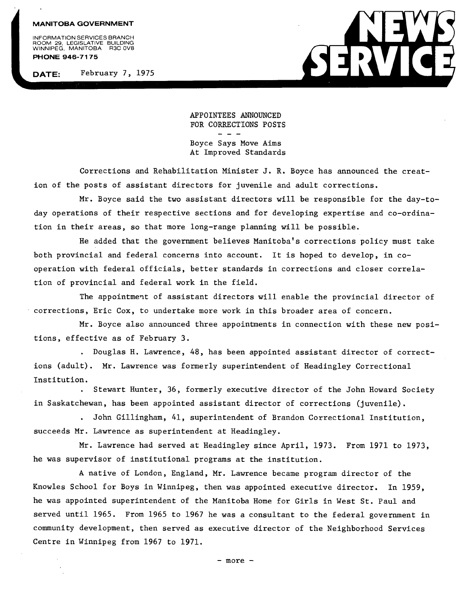## **MANITOBA GOVERNMENT**

INFORMATION SERVICES BRANCH<br>ROOM 29, LEGISLATIVE BUILDING<br>WINNIPEG, MANITOBA R3C 0V8 **PHONE 946-7175** 

**DATE:** February 7, 1975



APPOINTEES ANNOUNCED FOR CORRECTIONS POSTS

Boyce Says Move Aims At Improved Standards

Corrections and Rehabilitation Minister J. R. Boyce has announced the creation of the posts of assistant directors for juvenile and adult corrections.

Mr. Boyce said the two assistant directors will be responsible for the day-today operations of their respective sections and for developing expertise and co-ordination in their areas, so that more long-range planning will be possible.

He added that the government believes Manitoba's corrections policy must take both provincial and federal concerns into account. It is hoped to develop, in cooperation with federal officials, better standards in corrections and closer correlation of provincial and federal work in the field.

The appointment of assistant directors will enable the provincial director of corrections, Eric Cox, to undertake more work in this broader area of concern.

Mr. Boyce also announced three appointments in connection with these new positions, effective as of February 3.

. Douglas H. Lawrence, 48, has been appointed assistant director of corrections (adult). Mr. Lawrence was formerly superintendent of Headingley Correctional Institution.

. Stewart Hunter, 36, formerly executive director of the John Howard Society in Saskatchewan, has been appointed assistant director of corrections (juvenile).

. John Gillingham, 41, superintendent of Brandon Correctional Institution, succeeds Mr. Lawrence as superintendent at Headingley.

Mr. Lawrence had served at Headingley since April, 1973. From 1971 to 1973, he was supervisor of institutional programs at the institution.

A native of London, England, Mr. Lawrence became program director of the Knowles School for Boys in Winnipeg, then was appointed executive director. In 1959, he was appointed superintendent of the Manitoba Home for Girls in West St. Paul and served until 1965. From 1965 to 1967 he was a consultant to the federal government in community development, then served as executive director of the Neighborhood Services Centre in Winnipeg from 1967 to 1971.